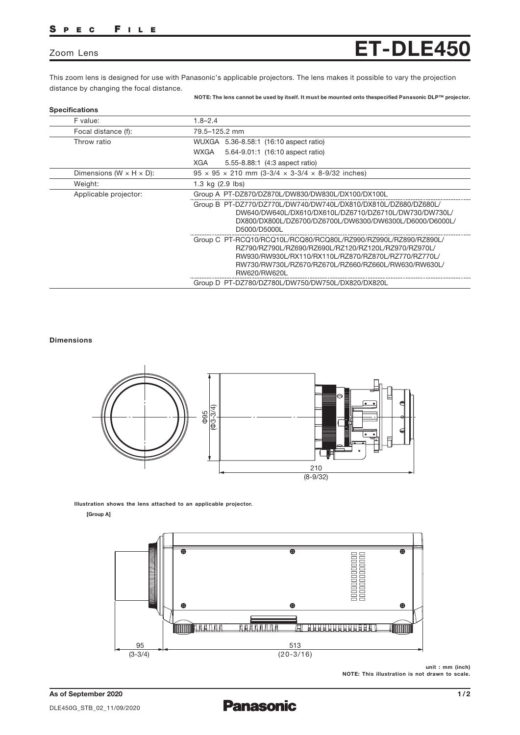# S P E C F I L E

# Zoom Lens

This zoom lens is designed for use with Panasonic's applicable projectors. The lens makes it possible to vary the projection distance by changing the focal distance.

#### NOTE: The lens cannot be used by itself. It must be mounted onto thespecified Panasonic DLP™ projector.

ET-DLE450

| <b>Specifications</b>                 |                                                                                                                                                                                                                                                         |
|---------------------------------------|---------------------------------------------------------------------------------------------------------------------------------------------------------------------------------------------------------------------------------------------------------|
| F value:                              | $1.8 - 2.4$                                                                                                                                                                                                                                             |
| Focal distance (f):                   | 79.5-125.2 mm                                                                                                                                                                                                                                           |
| Throw ratio                           | WUXGA 5.36-8.58:1 (16:10 aspect ratio)                                                                                                                                                                                                                  |
|                                       | 5.64-9.01:1 (16:10 aspect ratio)<br>WXGA                                                                                                                                                                                                                |
|                                       | <b>XGA</b><br>5.55-8.88:1 (4:3 aspect ratio)                                                                                                                                                                                                            |
| Dimensions ( $W \times H \times D$ ): | $95 \times 95 \times 210$ mm (3-3/4 $\times$ 3-3/4 $\times$ 8-9/32 inches)                                                                                                                                                                              |
| Weight:                               | 1.3 kg $(2.9$ lbs)                                                                                                                                                                                                                                      |
| Applicable projector:                 | Group A PT-DZ870/DZ870L/DW830/DW830L/DX100/DX100L                                                                                                                                                                                                       |
|                                       | Group B PT-DZ770/DZ770L/DW740/DW740L/DX810/DX810L/DZ680/DZ680L/<br>DW640/DW640L/DX610/DX610L/DZ6710/DZ6710L/DW730/DW730L/<br>DX800/DX800L/DZ6700/DZ6700L/DW6300/DW6300L/D6000/D6000L/<br>D5000/D5000L                                                   |
|                                       | Group C PT-RCQ10/RCQ10L/RCQ80/RCQ80L/RZ990/RZ990L/RZ890/RZ890L/<br>RZ790/RZ790L/RZ690/RZ690L/RZ120/RZ120L/RZ970/RZ970L/<br>RW930/RW930L/RX110/RX110L/RZ870/RZ870L/RZ770/RZ770L/<br>RW730/RW730L/RZ670/RZ670L/RZ660/RZ660L/RW630/RW630L/<br>RW620/RW620L |
|                                       | Group D PT-DZ780/DZ780L/DW750/DW750L/DX820/DX820L                                                                                                                                                                                                       |

## Dimensions



Illustration shows the lens attached to an applicable projector.

### [Group A]



unit : mm (inch) NOTE: This illustration is not drawn to scale.